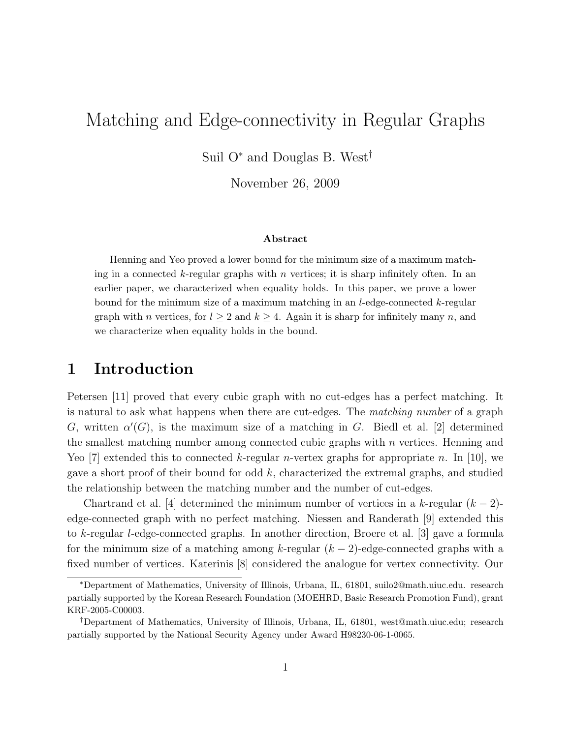# Matching and Edge-connectivity in Regular Graphs

Suil O<sup>∗</sup> and Douglas B. West†

November 26, 2009

#### Abstract

Henning and Yeo proved a lower bound for the minimum size of a maximum matching in a connected k-regular graphs with  $n$  vertices; it is sharp infinitely often. In an earlier paper, we characterized when equality holds. In this paper, we prove a lower bound for the minimum size of a maximum matching in an l-edge-connected k-regular graph with *n* vertices, for  $l \geq 2$  and  $k \geq 4$ . Again it is sharp for infinitely many *n*, and we characterize when equality holds in the bound.

#### 1 Introduction

Petersen [11] proved that every cubic graph with no cut-edges has a perfect matching. It is natural to ask what happens when there are cut-edges. The matching number of a graph G, written  $\alpha'(G)$ , is the maximum size of a matching in G. Biedl et al. [2] determined the smallest matching number among connected cubic graphs with  $n$  vertices. Henning and Yeo [7] extended this to connected k-regular *n*-vertex graphs for appropriate *n*. In [10], we gave a short proof of their bound for odd k, characterized the extremal graphs, and studied the relationship between the matching number and the number of cut-edges.

Chartrand et al. [4] determined the minimum number of vertices in a k-regular  $(k-2)$ edge-connected graph with no perfect matching. Niessen and Randerath [9] extended this to k-regular l-edge-connected graphs. In another direction, Broere et al. [3] gave a formula for the minimum size of a matching among k-regular  $(k-2)$ -edge-connected graphs with a fixed number of vertices. Katerinis [8] considered the analogue for vertex connectivity. Our

<sup>∗</sup>Department of Mathematics, University of Illinois, Urbana, IL, 61801, suilo2@math.uiuc.edu. research partially supported by the Korean Research Foundation (MOEHRD, Basic Research Promotion Fund), grant KRF-2005-C00003.

<sup>†</sup>Department of Mathematics, University of Illinois, Urbana, IL, 61801, west@math.uiuc.edu; research partially supported by the National Security Agency under Award H98230-06-1-0065.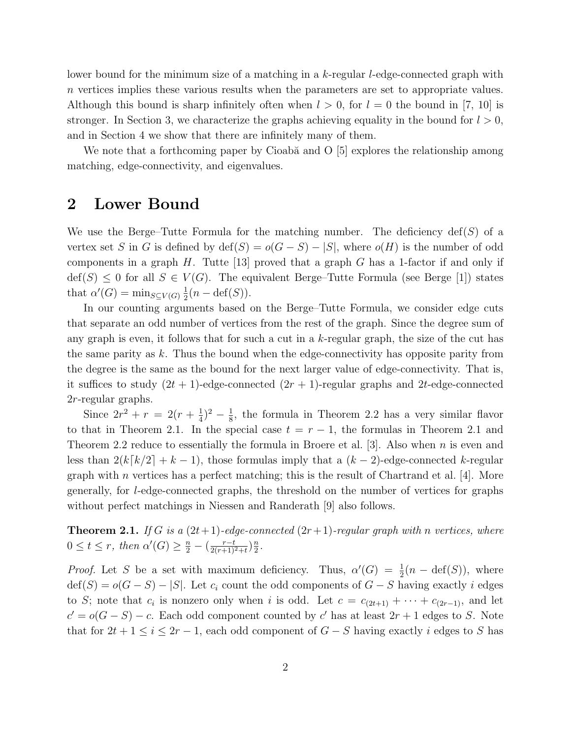lower bound for the minimum size of a matching in a k-regular l-edge-connected graph with n vertices implies these various results when the parameters are set to appropriate values. Although this bound is sharp infinitely often when  $l > 0$ , for  $l = 0$  the bound in [7, 10] is stronger. In Section 3, we characterize the graphs achieving equality in the bound for  $l > 0$ , and in Section 4 we show that there are infinitely many of them.

We note that a forthcoming paper by Cioabă and O  $[5]$  explores the relationship among matching, edge-connectivity, and eigenvalues.

#### 2 Lower Bound

We use the Berge–Tutte Formula for the matching number. The deficiency  $\text{def}(S)$  of a vertex set S in G is defined by  $\text{def}(S) = o(G - S) - |S|$ , where  $o(H)$  is the number of odd components in a graph H. Tutte [13] proved that a graph G has a 1-factor if and only if  $\text{def}(S) \leq 0$  for all  $S \in V(G)$ . The equivalent Berge–Tutte Formula (see Berge [1]) states that  $\alpha'(G) = \min_{S \subseteq V(G)} \frac{1}{2}$  $\frac{1}{2}(n - \text{def}(S)).$ 

In our counting arguments based on the Berge–Tutte Formula, we consider edge cuts that separate an odd number of vertices from the rest of the graph. Since the degree sum of any graph is even, it follows that for such a cut in a k-regular graph, the size of the cut has the same parity as  $k$ . Thus the bound when the edge-connectivity has opposite parity from the degree is the same as the bound for the next larger value of edge-connectivity. That is, it suffices to study  $(2t + 1)$ -edge-connected  $(2r + 1)$ -regular graphs and 2t-edge-connected 2r-regular graphs.

Since  $2r^2 + r = 2(r + \frac{1}{4})$  $(\frac{1}{4})^2 - \frac{1}{8}$  $\frac{1}{8}$ , the formula in Theorem 2.2 has a very similar flavor to that in Theorem 2.1. In the special case  $t = r - 1$ , the formulas in Theorem 2.1 and Theorem 2.2 reduce to essentially the formula in Broere et al.  $[3]$ . Also when n is even and less than  $2(k[k/2]+k-1)$ , those formulas imply that a  $(k-2)$ -edge-connected k-regular graph with  $n$  vertices has a perfect matching; this is the result of Chartrand et al. [4]. More generally, for l-edge-connected graphs, the threshold on the number of vertices for graphs without perfect matchings in Niessen and Randerath [9] also follows.

**Theorem 2.1.** If G is a  $(2t+1)$ -edge-connected  $(2r+1)$ -regular graph with n vertices, where  $0 \le t \le r$ , then  $\alpha'(G) \ge \frac{n}{2} - (\frac{r-t}{2(r+1)^2+t})\frac{n}{2}$  $\frac{n}{2}$ .

*Proof.* Let S be a set with maximum deficiency. Thus,  $\alpha'(G) = \frac{1}{2}(n - \text{def}(S))$ , where  $\text{def}(S) = o(G - S) - |S|$ . Let  $c_i$  count the odd components of  $G - S$  having exactly i edges to S; note that  $c_i$  is nonzero only when i is odd. Let  $c = c_{(2t+1)} + \cdots + c_{(2r-1)}$ , and let  $c' = o(G - S) - c$ . Each odd component counted by c' has at least  $2r + 1$  edges to S. Note that for  $2t + 1 \leq i \leq 2r - 1$ , each odd component of  $G - S$  having exactly i edges to S has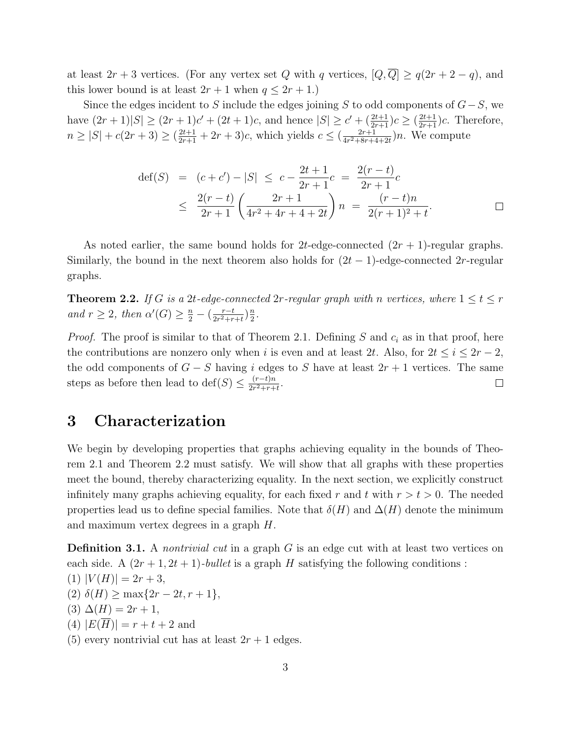at least  $2r + 3$  vertices. (For any vertex set Q with q vertices,  $[Q, \overline{Q}] \ge q(2r + 2 - q)$ , and this lower bound is at least  $2r + 1$  when  $q \leq 2r + 1$ .)

Since the edges incident to S include the edges joining S to odd components of  $G-S$ , we have  $(2r+1)|S| \ge (2r+1)c' + (2t+1)c$ , and hence  $|S| \ge c' + (\frac{2t+1}{2r+1})c \ge (\frac{2t+1}{2r+1})c$ . Therefore,  $n \geq |S| + c(2r+3) \geq (\frac{2t+1}{2r+1} + 2r + 3)c$ , which yields  $c \leq (\frac{2r+1}{4r^2+8r+s})$  $\frac{2r+1}{4r^2+8r+4+2t}$ )n. We compute

$$
\begin{array}{rcl}\n\det(S) & = & (c+c') - |S| \leq c - \frac{2t+1}{2r+1}c \\
& \leq & \frac{2(r-t)}{2r+1} \left( \frac{2r+1}{4r^2+4r+4+2t} \right) n \\
& = & \frac{(r-t)n}{2(r+1)^2+t}.\n\end{array} \qquad \Box
$$

As noted earlier, the same bound holds for 2t-edge-connected  $(2r + 1)$ -regular graphs. Similarly, the bound in the next theorem also holds for  $(2t - 1)$ -edge-connected 2r-regular graphs.

**Theorem 2.2.** If G is a 2t-edge-connected  $2r$ -regular graph with n vertices, where  $1 \le t \le r$ and  $r \geq 2$ , then  $\alpha'(G) \geq \frac{n}{2} - (\frac{r-t}{2r^2+r})$  $\frac{r-t}{2r^2+r+t}$ ) $\frac{n}{2}$  $\frac{n}{2}$ .

*Proof.* The proof is similar to that of Theorem 2.1. Defining S and  $c_i$  as in that proof, here the contributions are nonzero only when i is even and at least 2t. Also, for  $2t \leq i \leq 2r-2$ , the odd components of  $G - S$  having i edges to S have at least  $2r + 1$  vertices. The same steps as before then lead to def(S)  $\leq \frac{(r-t)n}{2r^2+r+1}$ .  $\Box$  $\frac{1}{2r^2+r+t}$ 

#### 3 Characterization

We begin by developing properties that graphs achieving equality in the bounds of Theorem 2.1 and Theorem 2.2 must satisfy. We will show that all graphs with these properties meet the bound, thereby characterizing equality. In the next section, we explicitly construct infinitely many graphs achieving equality, for each fixed r and t with  $r > t > 0$ . The needed properties lead us to define special families. Note that  $\delta(H)$  and  $\Delta(H)$  denote the minimum and maximum vertex degrees in a graph H.

**Definition 3.1.** A nontrivial cut in a graph  $G$  is an edge cut with at least two vertices on each side. A  $(2r+1, 2t+1)$ -bullet is a graph H satisfying the following conditions: (1)  $|V(H)| = 2r + 3$ , (2)  $\delta(H) \ge \max\{2r - 2t, r + 1\},\$ (3)  $\Delta(H) = 2r + 1$ ,  $(4)$   $|E(H)| = r + t + 2$  and (5) every nontrivial cut has at least  $2r + 1$  edges.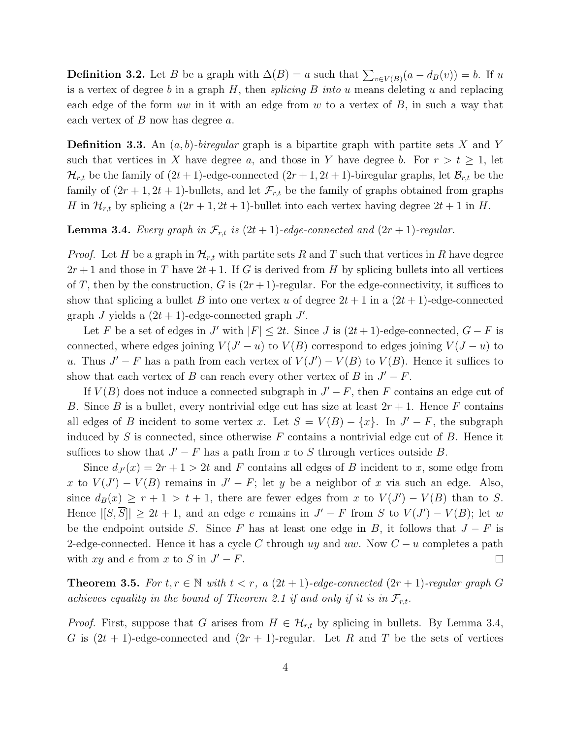**Definition 3.2.** Let B be a graph with  $\Delta(B) = a$  such that  $\sum_{v \in V(B)} (a - d_B(v)) = b$ . If u is a vertex of degree b in a graph  $H$ , then *splicing*  $B$  *into u* means deleting  $u$  and replacing each edge of the form uw in it with an edge from w to a vertex of  $B$ , in such a way that each vertex of  $B$  now has degree  $a$ .

**Definition 3.3.** An  $(a, b)$ -biregular graph is a bipartite graph with partite sets X and Y such that vertices in X have degree a, and those in Y have degree b. For  $r > t \geq 1$ , let  $\mathcal{H}_{r,t}$  be the family of  $(2t+1)$ -edge-connected  $(2r+1, 2t+1)$ -biregular graphs, let  $\mathcal{B}_{r,t}$  be the family of  $(2r + 1, 2t + 1)$ -bullets, and let  $\mathcal{F}_{r,t}$  be the family of graphs obtained from graphs H in  $\mathcal{H}_{r,t}$  by splicing a  $(2r+1, 2t+1)$ -bullet into each vertex having degree  $2t+1$  in H.

#### **Lemma 3.4.** Every graph in  $\mathcal{F}_{r,t}$  is  $(2t + 1)$ -edge-connected and  $(2r + 1)$ -regular.

*Proof.* Let H be a graph in  $\mathcal{H}_{r,t}$  with partite sets R and T such that vertices in R have degree  $2r+1$  and those in T have  $2t+1$ . If G is derived from H by splicing bullets into all vertices of T, then by the construction, G is  $(2r+1)$ -regular. For the edge-connectivity, it suffices to show that splicing a bullet B into one vertex u of degree  $2t + 1$  in a  $(2t + 1)$ -edge-connected graph  $J$  yields a  $(2t + 1)$ -edge-connected graph  $J'$ .

Let F be a set of edges in J' with  $|F| \leq 2t$ . Since J is  $(2t + 1)$ -edge-connected,  $G - F$  is connected, where edges joining  $V(J'-u)$  to  $V(B)$  correspond to edges joining  $V(J-u)$  to u. Thus  $J' - F$  has a path from each vertex of  $V(J') - V(B)$  to  $V(B)$ . Hence it suffices to show that each vertex of B can reach every other vertex of B in  $J' - F$ .

If  $V(B)$  does not induce a connected subgraph in  $J' - F$ , then F contains an edge cut of B. Since B is a bullet, every nontrivial edge cut has size at least  $2r + 1$ . Hence F contains all edges of B incident to some vertex x. Let  $S = V(B) - \{x\}$ . In  $J' - F$ , the subgraph induced by S is connected, since otherwise  $F$  contains a nontrivial edge cut of B. Hence it suffices to show that  $J' - F$  has a path from x to S through vertices outside B.

Since  $d_{J}(x) = 2r + 1 > 2t$  and F contains all edges of B incident to x, some edge from x to  $V(J') - V(B)$  remains in  $J' - F$ ; let y be a neighbor of x via such an edge. Also, since  $d_B(x) \ge r+1 > t+1$ , there are fewer edges from x to  $V(J') - V(B)$  than to S. Hence  $|[S,\overline{S}]|\geq 2t+1$ , and an edge e remains in  $J'-F$  from S to  $V(J')-V(B)$ ; let w be the endpoint outside S. Since F has at least one edge in B, it follows that  $J - F$  is 2-edge-connected. Hence it has a cycle C through uy and uw. Now  $C - u$  completes a path with  $xy$  and e from x to S in  $J' - F$ .  $\Box$ 

**Theorem 3.5.** For  $t, r \in \mathbb{N}$  with  $t < r$ , a  $(2t + 1)$ -edge-connected  $(2r + 1)$ -regular graph G achieves equality in the bound of Theorem 2.1 if and only if it is in  $\mathcal{F}_{r,t}$ .

*Proof.* First, suppose that G arises from  $H \in \mathcal{H}_{r,t}$  by splicing in bullets. By Lemma 3.4, G is  $(2t + 1)$ -edge-connected and  $(2r + 1)$ -regular. Let R and T be the sets of vertices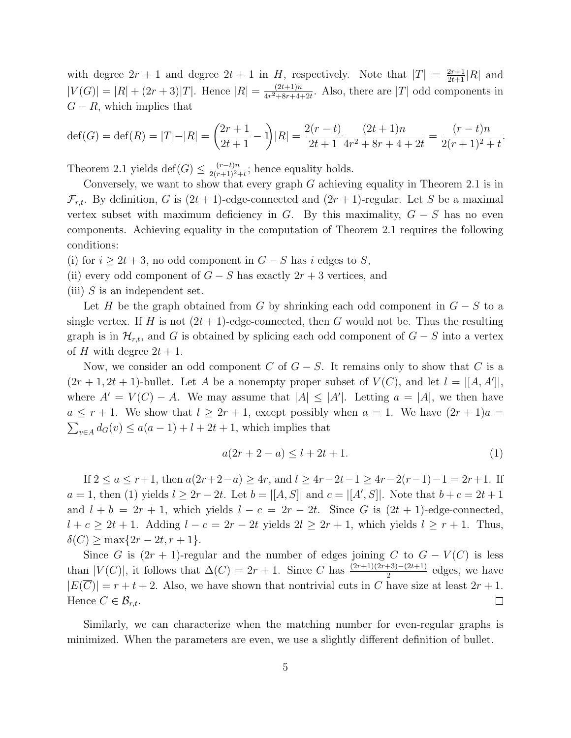with degree  $2r + 1$  and degree  $2t + 1$  in H, respectively. Note that  $|T| = \frac{2r+1}{2t+1}|R|$  and  $|V(G)| = |R| + (2r+3)|T|$ . Hence  $|R| = \frac{(2t+1)n}{4r^2+8r+4}$  $\frac{(2t+1)n}{4r^2+8r+4+2t}$ . Also, there are |T| odd components in  $G - R$ , which implies that

$$
\text{def}(G) = \text{def}(R) = |T| - |R| = \left(\frac{2r+1}{2t+1} - 1\right)|R| = \frac{2(r-t)}{2t+1} \cdot \frac{(2t+1)n}{4r^2 + 8r + 4 + 2t} = \frac{(r-t)n}{2(r+1)^2 + t}.
$$

Theorem 2.1 yields  $\text{def}(G) \leq \frac{(r-t)n}{2(r+1)^2+t}$ ; hence equality holds.

Conversely, we want to show that every graph  $G$  achieving equality in Theorem 2.1 is in  $\mathcal{F}_{r,t}$ . By definition, G is  $(2t+1)$ -edge-connected and  $(2r+1)$ -regular. Let S be a maximal vertex subset with maximum deficiency in G. By this maximality,  $G - S$  has no even components. Achieving equality in the computation of Theorem 2.1 requires the following conditions:

(i) for  $i \geq 2t + 3$ , no odd component in  $G - S$  has i edges to S,

(ii) every odd component of  $G - S$  has exactly  $2r + 3$  vertices, and

(iii)  $S$  is an independent set.

Let H be the graph obtained from G by shrinking each odd component in  $G - S$  to a single vertex. If H is not  $(2t + 1)$ -edge-connected, then G would not be. Thus the resulting graph is in  $\mathcal{H}_{r,t}$ , and G is obtained by splicing each odd component of  $G - S$  into a vertex of H with degree  $2t + 1$ .

Now, we consider an odd component C of  $G-S$ . It remains only to show that C is a  $(2r+1, 2t+1)$ -bullet. Let A be a nonempty proper subset of  $V(C)$ , and let  $l = |[A, A']|$ , where  $A' = V(C) - A$ . We may assume that  $|A| \leq |A'|$ . Letting  $a = |A|$ , we then have  $a \leq r+1$ . We show that  $l \geq 2r+1$ , except possibly when  $a = 1$ . We have  $(2r+1)a =$  $\sum_{v \in A} d_G(v) \le a(a-1) + l + 2t + 1$ , which implies that

$$
a(2r + 2 - a) \le l + 2t + 1. \tag{1}
$$

If  $2 \le a \le r+1$ , then  $a(2r+2-a) \ge 4r$ , and  $l \ge 4r-2t-1 \ge 4r-2(r-1)-1 = 2r+1$ . If  $a = 1$ , then (1) yields  $l \geq 2r - 2t$ . Let  $b = |[A, S]|$  and  $c = |[A', S]|$ . Note that  $b + c = 2t + 1$ and  $l + b = 2r + 1$ , which yields  $l - c = 2r - 2t$ . Since G is  $(2t + 1)$ -edge-connected,  $l + c \geq 2t + 1$ . Adding  $l - c = 2r - 2t$  yields  $2l \geq 2r + 1$ , which yields  $l \geq r + 1$ . Thus,  $\delta(C) \ge \max\{2r - 2t, r + 1\}.$ 

Since G is  $(2r + 1)$ -regular and the number of edges joining C to  $G - V(C)$  is less than  $|V(C)|$ , it follows that  $\Delta(C) = 2r + 1$ . Since C has  $\frac{(2r+1)(2r+3)-(2t+1)}{2}$  edges, we have  $|E(\overline{C})| = r + t + 2$ . Also, we have shown that nontrivial cuts in C have size at least  $2r + 1$ . Hence  $C \in \mathcal{B}_{r,t}$ .  $\Box$ 

Similarly, we can characterize when the matching number for even-regular graphs is minimized. When the parameters are even, we use a slightly different definition of bullet.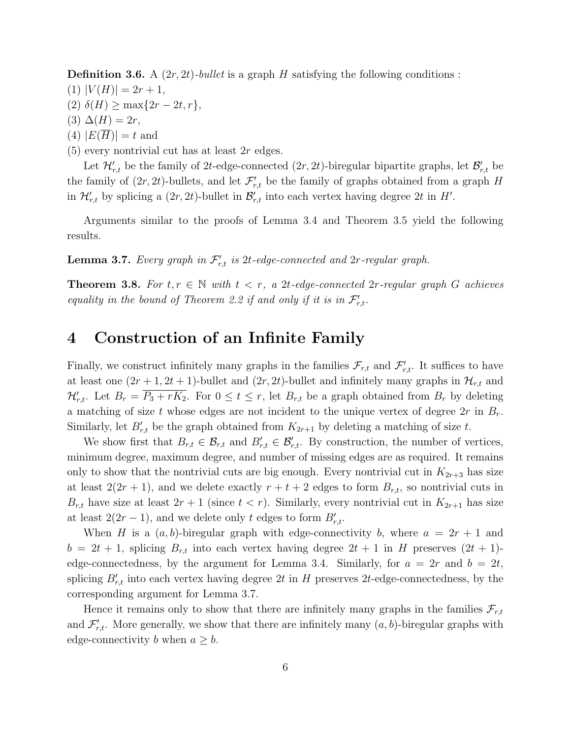**Definition 3.6.** A  $(2r, 2t)$ -bullet is a graph H satisfying the following conditions :

- $(1)$   $|V(H)| = 2r + 1$ ,
- (2)  $\delta(H) \ge \max\{2r 2t, r\},\$
- $(3)$   $\Delta(H) = 2r$ ,
- (4)  $|E(H)| = t$  and
- $(5)$  every nontrivial cut has at least  $2r$  edges.

Let  $\mathcal{H}'_{r,t}$  be the family of 2t-edge-connected  $(2r, 2t)$ -biregular bipartite graphs, let  $\mathcal{B}'_{r,t}$  be the family of  $(2r, 2t)$ -bullets, and let  $\mathcal{F}'_{r,t}$  be the family of graphs obtained from a graph H in  $\mathcal{H}'_{r,t}$  by splicing a  $(2r, 2t)$ -bullet in  $\mathcal{B}'_{r,t}$  into each vertex having degree 2t in H'.

Arguments similar to the proofs of Lemma 3.4 and Theorem 3.5 yield the following results.

**Lemma 3.7.** Every graph in  $\mathcal{F}'_{r,t}$  is 2t-edge-connected and 2r-regular graph.

**Theorem 3.8.** For  $t, r \in \mathbb{N}$  with  $t < r$ , a 2t-edge-connected 2r-regular graph G achieves equality in the bound of Theorem 2.2 if and only if it is in  $\mathcal{F}'_{r,t}$ .

## 4 Construction of an Infinite Family

Finally, we construct infinitely many graphs in the families  $\mathcal{F}_{r,t}$  and  $\mathcal{F}'_{r,t}$ . It suffices to have at least one  $(2r+1, 2t+1)$ -bullet and  $(2r, 2t)$ -bullet and infinitely many graphs in  $\mathcal{H}_{r,t}$  and  $\mathcal{H}'_{r,t}$ . Let  $B_r = \overline{P_3 + rK_2}$ . For  $0 \le t \le r$ , let  $B_{r,t}$  be a graph obtained from  $B_r$  by deleting a matching of size t whose edges are not incident to the unique vertex of degree  $2r$  in  $B_r$ . Similarly, let  $B'_{r,t}$  be the graph obtained from  $K_{2r+1}$  by deleting a matching of size t.

We show first that  $B_{r,t} \in \mathcal{B}_{r,t}$  and  $B'_{r,t} \in \mathcal{B}'_{r,t}$ . By construction, the number of vertices, minimum degree, maximum degree, and number of missing edges are as required. It remains only to show that the nontrivial cuts are big enough. Every nontrivial cut in  $K_{2r+3}$  has size at least  $2(2r+1)$ , and we delete exactly  $r+t+2$  edges to form  $B_{r,t}$ , so nontrivial cuts in  $B_{r,t}$  have size at least  $2r+1$  (since  $t < r$ ). Similarly, every nontrivial cut in  $K_{2r+1}$  has size at least  $2(2r - 1)$ , and we delete only t edges to form  $B'_{r,t}$ .

When H is a  $(a, b)$ -biregular graph with edge-connectivity b, where  $a = 2r + 1$  and  $b = 2t + 1$ , splicing  $B_{r,t}$  into each vertex having degree  $2t + 1$  in H preserves  $(2t + 1)$ edge-connectedness, by the argument for Lemma 3.4. Similarly, for  $a = 2r$  and  $b = 2t$ , splicing  $B'_{r,t}$  into each vertex having degree 2t in H preserves 2t-edge-connectedness, by the corresponding argument for Lemma 3.7.

Hence it remains only to show that there are infinitely many graphs in the families  $\mathcal{F}_{r,t}$ and  $\mathcal{F}'_{r,t}$ . More generally, we show that there are infinitely many  $(a, b)$ -biregular graphs with edge-connectivity b when  $a \geq b$ .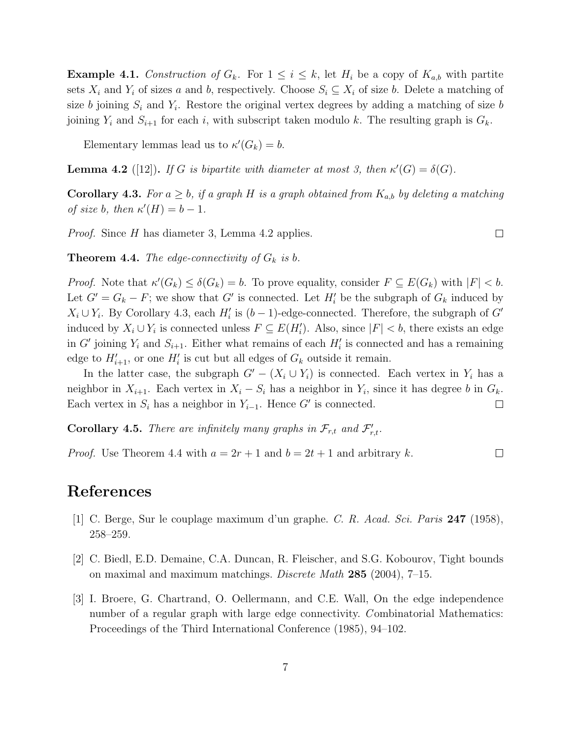**Example 4.1.** Construction of  $G_k$ . For  $1 \leq i \leq k$ , let  $H_i$  be a copy of  $K_{a,b}$  with partite sets  $X_i$  and  $Y_i$  of sizes a and b, respectively. Choose  $S_i \subseteq X_i$  of size b. Delete a matching of size b joining  $S_i$  and  $Y_i$ . Restore the original vertex degrees by adding a matching of size b joining  $Y_i$  and  $S_{i+1}$  for each i, with subscript taken modulo k. The resulting graph is  $G_k$ .

Elementary lemmas lead us to  $\kappa'(G_k) = b$ .

**Lemma 4.2** ([12]). If G is bipartite with diameter at most 3, then  $\kappa'(G) = \delta(G)$ .

**Corollary 4.3.** For  $a \geq b$ , if a graph H is a graph obtained from  $K_{a,b}$  by deleting a matching of size b, then  $\kappa'(H) = b - 1$ .

Proof. Since H has diameter 3, Lemma 4.2 applies.

**Theorem 4.4.** The edge-connectivity of  $G_k$  is b.

*Proof.* Note that  $\kappa'(G_k) \leq \delta(G_k) = b$ . To prove equality, consider  $F \subseteq E(G_k)$  with  $|F| < b$ . Let  $G' = G_k - F$ ; we show that G' is connected. Let  $H'_i$  be the subgraph of  $G_k$  induced by  $X_i \cup Y_i$ . By Corollary 4.3, each  $H'_i$  is  $(b-1)$ -edge-connected. Therefore, the subgraph of  $G'$ induced by  $X_i \cup Y_i$  is connected unless  $F \subseteq E(H_i')$ . Also, since  $|F| < b$ , there exists an edge in G' joining  $Y_i$  and  $S_{i+1}$ . Either what remains of each  $H'_i$  is connected and has a remaining edge to  $H'_{i+1}$ , or one  $H'_{i}$  is cut but all edges of  $G_{k}$  outside it remain.

In the latter case, the subgraph  $G' - (X_i \cup Y_i)$  is connected. Each vertex in  $Y_i$  has a neighbor in  $X_{i+1}$ . Each vertex in  $X_i - S_i$  has a neighbor in  $Y_i$ , since it has degree b in  $G_k$ . Each vertex in  $S_i$  has a neighbor in  $Y_{i-1}$ . Hence G' is connected.  $\Box$ 

**Corollary 4.5.** There are infinitely many graphs in  $\mathcal{F}_{r,t}$  and  $\mathcal{F}'_{r,t}$ .

*Proof.* Use Theorem 4.4 with  $a = 2r + 1$  and  $b = 2t + 1$  and arbitrary k.  $\Box$ 

### References

- [1] C. Berge, Sur le couplage maximum d'un graphe. C. R. Acad. Sci. Paris 247 (1958), 258–259.
- [2] C. Biedl, E.D. Demaine, C.A. Duncan, R. Fleischer, and S.G. Kobourov, Tight bounds on maximal and maximum matchings. Discrete Math  $285$  (2004), 7–15.
- [3] I. Broere, G. Chartrand, O. Oellermann, and C.E. Wall, On the edge independence number of a regular graph with large edge connectivity. Combinatorial Mathematics: Proceedings of the Third International Conference (1985), 94–102.

 $\Box$